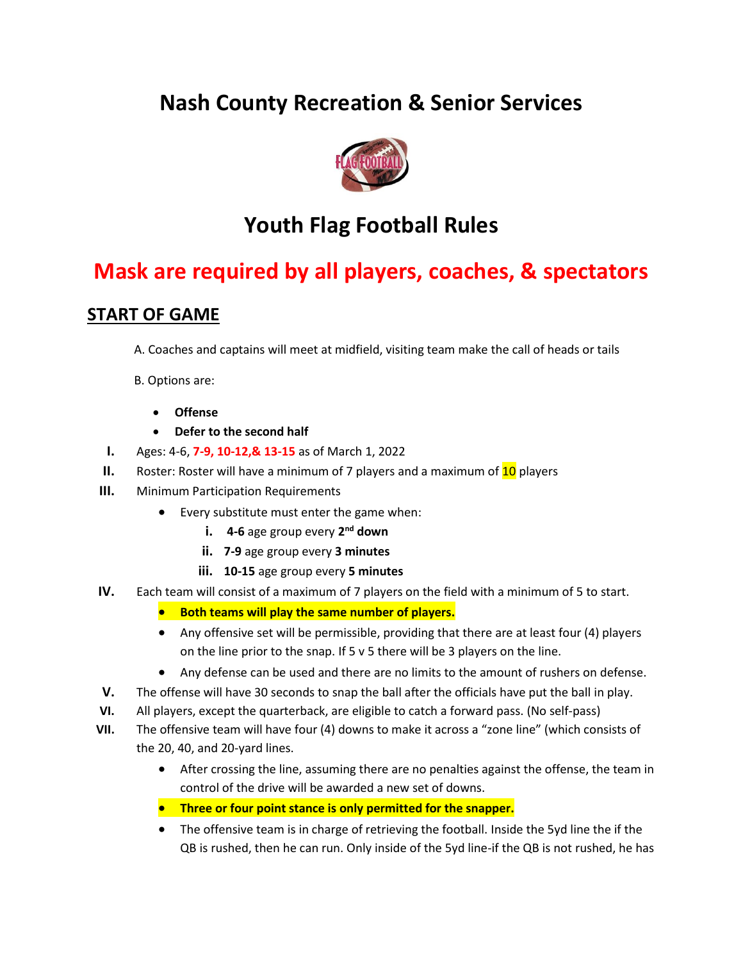# **Nash County Recreation & Senior Services**



# **Youth Flag Football Rules**

# **Mask are required by all players, coaches, & spectators**

# **START OF GAME**

- A. Coaches and captains will meet at midfield, visiting team make the call of heads or tails
- B. Options are:
	- **Offense**
	- **Defer to the second half**
- **I.** Ages: 4-6, **7-9, 10-12,& 13-15** as of March 1, 2022
- **II.** Roster: Roster will have a minimum of 7 players and a maximum of 10 players
- **III.** Minimum Participation Requirements
	- Every substitute must enter the game when:
		- **i.** 4-6 age group every 2<sup>nd</sup> down
		- **ii. 7-9** age group every **3 minutes**
		- **iii. 10-15** age group every **5 minutes**
- **IV.** Each team will consist of a maximum of 7 players on the field with a minimum of 5 to start.
	- **Both teams will play the same number of players.**
	- Any offensive set will be permissible, providing that there are at least four (4) players on the line prior to the snap. If 5 v 5 there will be 3 players on the line.
	- Any defense can be used and there are no limits to the amount of rushers on defense.
- **V.** The offense will have 30 seconds to snap the ball after the officials have put the ball in play.
- **VI.** All players, except the quarterback, are eligible to catch a forward pass. (No self-pass)
- **VII.** The offensive team will have four (4) downs to make it across a "zone line" (which consists of the 20, 40, and 20-yard lines.
	- After crossing the line, assuming there are no penalties against the offense, the team in control of the drive will be awarded a new set of downs.
	- **Three or four point stance is only permitted for the snapper.**
	- The offensive team is in charge of retrieving the football. Inside the 5yd line the if the QB is rushed, then he can run. Only inside of the 5yd line-if the QB is not rushed, he has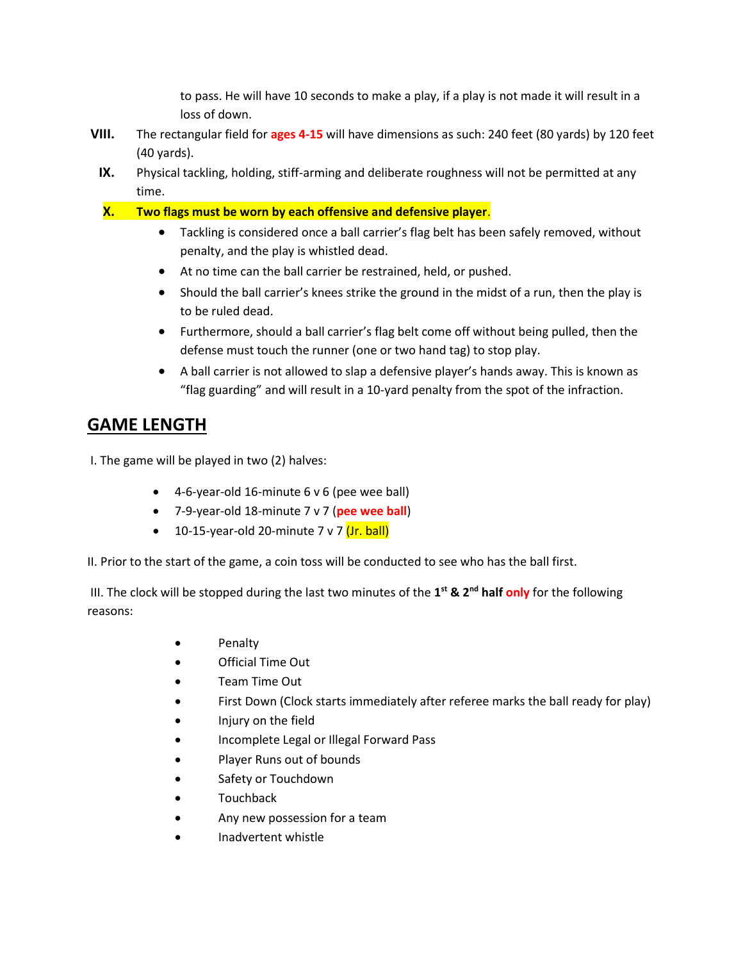to pass. He will have 10 seconds to make a play, if a play is not made it will result in a loss of down.

- **VIII.** The rectangular field for **ages 4-15** will have dimensions as such: 240 feet (80 yards) by 120 feet (40 yards).
	- **IX.** Physical tackling, holding, stiff-arming and deliberate roughness will not be permitted at any time.
	- **X. Two flags must be worn by each offensive and defensive player**.
		- Tackling is considered once a ball carrier's flag belt has been safely removed, without penalty, and the play is whistled dead.
		- At no time can the ball carrier be restrained, held, or pushed.
		- Should the ball carrier's knees strike the ground in the midst of a run, then the play is to be ruled dead.
		- Furthermore, should a ball carrier's flag belt come off without being pulled, then the defense must touch the runner (one or two hand tag) to stop play.
		- A ball carrier is not allowed to slap a defensive player's hands away. This is known as "flag guarding" and will result in a 10-yard penalty from the spot of the infraction.

# **GAME LENGTH**

I. The game will be played in two (2) halves:

- 4-6-year-old 16-minute 6 v 6 (pee wee ball)
- 7-9-year-old 18-minute 7 v 7 (**pee wee ball**)
- 10-15-year-old 20-minute  $7 \vee 7$  (Jr. ball)

II. Prior to the start of the game, a coin toss will be conducted to see who has the ball first.

III. The clock will be stopped during the last two minutes of the **1 st & 2nd half only** for the following reasons:

- Penalty
- Official Time Out
- Team Time Out
- First Down (Clock starts immediately after referee marks the ball ready for play)
- Injury on the field
- Incomplete Legal or Illegal Forward Pass
- Player Runs out of bounds
- Safety or Touchdown
- Touchback
- Any new possession for a team
- Inadvertent whistle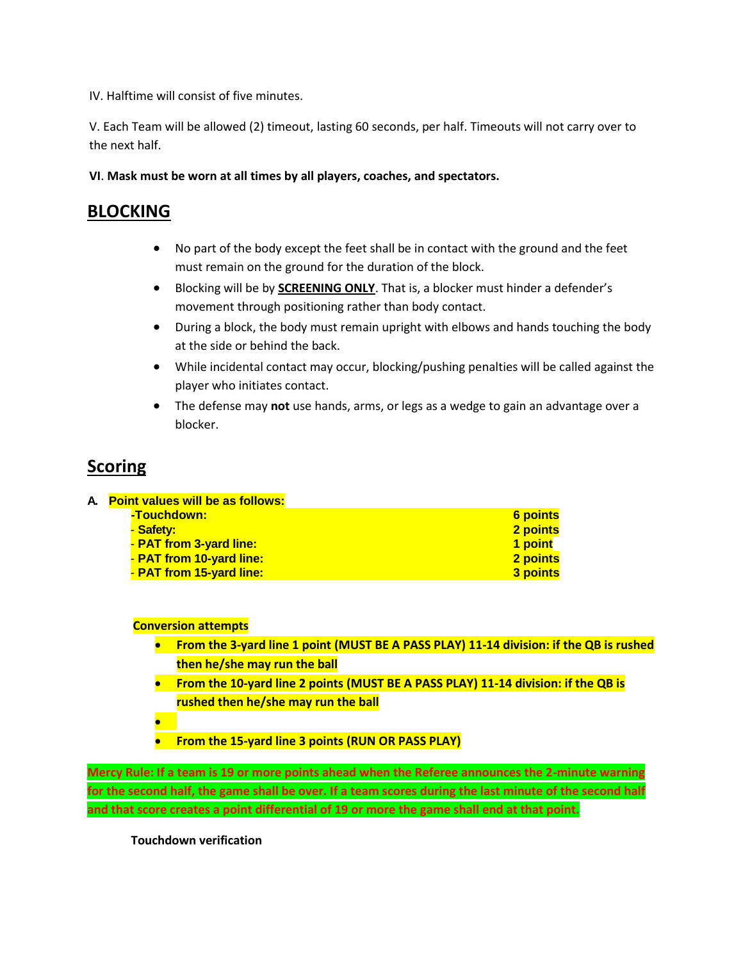IV. Halftime will consist of five minutes.

V. Each Team will be allowed (2) timeout, lasting 60 seconds, per half. Timeouts will not carry over to the next half.

**VI**. **Mask must be worn at all times by all players, coaches, and spectators.**

### **BLOCKING**

- No part of the body except the feet shall be in contact with the ground and the feet must remain on the ground for the duration of the block.
- Blocking will be by **SCREENING ONLY**. That is, a blocker must hinder a defender's movement through positioning rather than body contact.
- During a block, the body must remain upright with elbows and hands touching the body at the side or behind the back.
- While incidental contact may occur, blocking/pushing penalties will be called against the player who initiates contact.
- The defense may **not** use hands, arms, or legs as a wedge to gain an advantage over a blocker.

# **Scoring**

| A. Point values will be as follows: |          |
|-------------------------------------|----------|
| -Touchdown:                         | 6 points |
| <u>- Safety:</u>                    | 2 points |
| - PAT from 3-yard line:             | 1 point  |
| - PAT from 10-yard line:            | 2 points |
| - PAT from 15-yard line:            | 3 points |

### **Conversion attempts**

- **From the 3-yard line 1 point (MUST BE A PASS PLAY) 11-14 division: if the QB is rushed then he/she may run the ball**
- **From the 10-yard line 2 points (MUST BE A PASS PLAY) 11-14 division: if the QB is rushed then he/she may run the ball**
- •
- **From the 15-yard line 3 points (RUN OR PASS PLAY)**

**Mercy Rule: If a team is 19 or more points ahead when the Referee announces the 2-minute warning for the second half, the game shall be over. If a team scores during the last minute of the second half and that score creates a point differential of 19 or more the game shall end at that point.**

**Touchdown verification**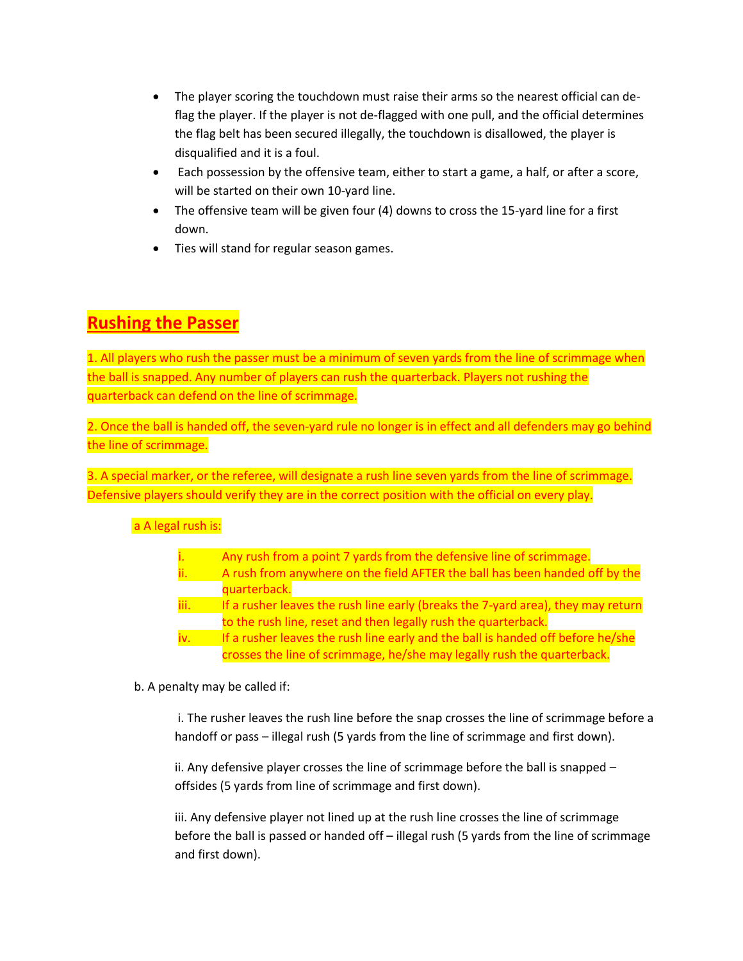- The player scoring the touchdown must raise their arms so the nearest official can deflag the player. If the player is not de-flagged with one pull, and the official determines the flag belt has been secured illegally, the touchdown is disallowed, the player is disqualified and it is a foul.
- Each possession by the offensive team, either to start a game, a half, or after a score, will be started on their own 10-yard line.
- The offensive team will be given four (4) downs to cross the 15-yard line for a first down.
- Ties will stand for regular season games.

# **Rushing the Passer**

1. All players who rush the passer must be a minimum of seven yards from the line of scrimmage when the ball is snapped. Any number of players can rush the quarterback. Players not rushing the quarterback can defend on the line of scrimmage.

2. Once the ball is handed off, the seven-yard rule no longer is in effect and all defenders may go behind the line of scrimmage.

3. A special marker, or the referee, will designate a rush line seven yards from the line of scrimmage. Defensive players should verify they are in the correct position with the official on every play.

a A legal rush is:

| Any rush from a point 7 yards from the defensive line of scrimmage. |
|---------------------------------------------------------------------|

- ii. A rush from anywhere on the field AFTER the ball has been handed off by the quarterback.
- iii. If a rusher leaves the rush line early (breaks the 7-yard area), they may return to the rush line, reset and then legally rush the quarterback.
- iv. If a rusher leaves the rush line early and the ball is handed off before he/she crosses the line of scrimmage, he/she may legally rush the quarterback.

b. A penalty may be called if:

i. The rusher leaves the rush line before the snap crosses the line of scrimmage before a handoff or pass – illegal rush (5 yards from the line of scrimmage and first down).

ii. Any defensive player crosses the line of scrimmage before the ball is snapped – offsides (5 yards from line of scrimmage and first down).

iii. Any defensive player not lined up at the rush line crosses the line of scrimmage before the ball is passed or handed off – illegal rush (5 yards from the line of scrimmage and first down).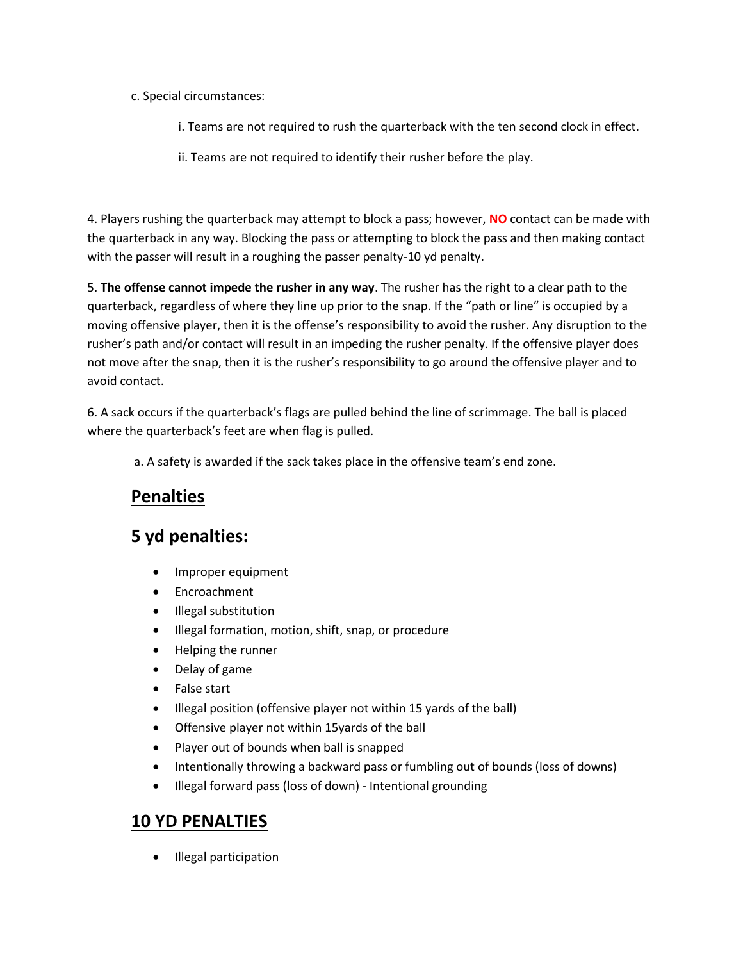- c. Special circumstances:
	- i. Teams are not required to rush the quarterback with the ten second clock in effect.
	- ii. Teams are not required to identify their rusher before the play.

4. Players rushing the quarterback may attempt to block a pass; however, **NO** contact can be made with the quarterback in any way. Blocking the pass or attempting to block the pass and then making contact with the passer will result in a roughing the passer penalty-10 yd penalty.

5. **The offense cannot impede the rusher in any way**. The rusher has the right to a clear path to the quarterback, regardless of where they line up prior to the snap. If the "path or line" is occupied by a moving offensive player, then it is the offense's responsibility to avoid the rusher. Any disruption to the rusher's path and/or contact will result in an impeding the rusher penalty. If the offensive player does not move after the snap, then it is the rusher's responsibility to go around the offensive player and to avoid contact.

6. A sack occurs if the quarterback's flags are pulled behind the line of scrimmage. The ball is placed where the quarterback's feet are when flag is pulled.

a. A safety is awarded if the sack takes place in the offensive team's end zone.

# **Penalties**

# **5 yd penalties:**

- Improper equipment
- Encroachment
- Illegal substitution
- Illegal formation, motion, shift, snap, or procedure
- Helping the runner
- Delay of game
- False start
- Illegal position (offensive player not within 15 yards of the ball)
- Offensive player not within 15yards of the ball
- Player out of bounds when ball is snapped
- Intentionally throwing a backward pass or fumbling out of bounds (loss of downs)
- Illegal forward pass (loss of down) Intentional grounding

### **10 YD PENALTIES**

• Illegal participation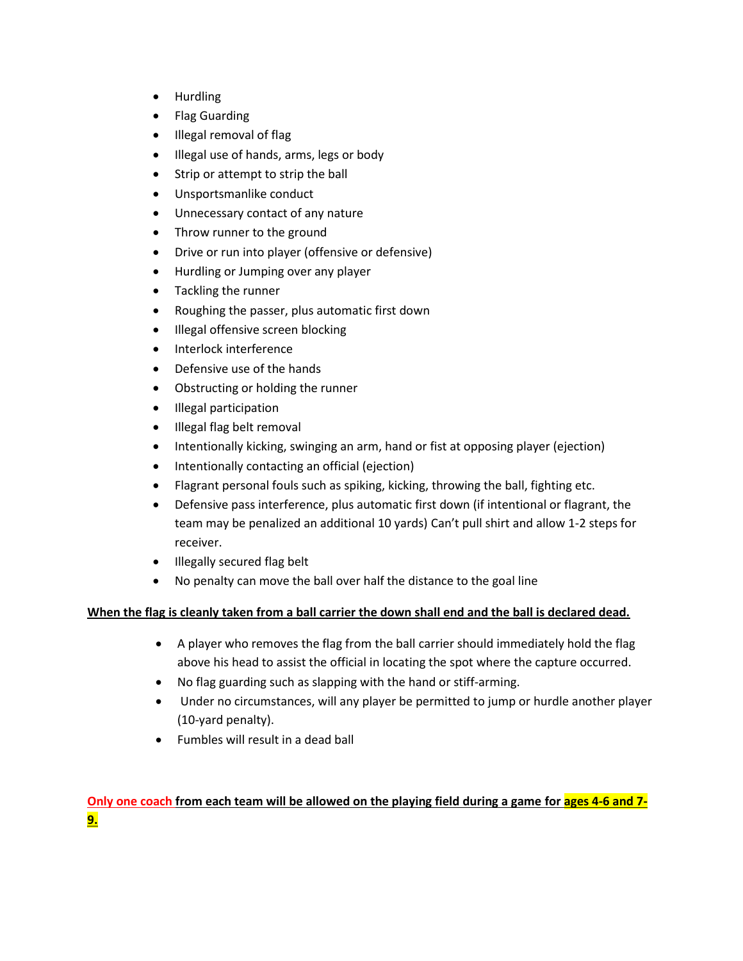- Hurdling
- Flag Guarding
- Illegal removal of flag
- Illegal use of hands, arms, legs or body
- Strip or attempt to strip the ball
- Unsportsmanlike conduct
- Unnecessary contact of any nature
- Throw runner to the ground
- Drive or run into player (offensive or defensive)
- Hurdling or Jumping over any player
- Tackling the runner
- Roughing the passer, plus automatic first down
- Illegal offensive screen blocking
- Interlock interference
- Defensive use of the hands
- Obstructing or holding the runner
- Illegal participation
- Illegal flag belt removal
- Intentionally kicking, swinging an arm, hand or fist at opposing player (ejection)
- Intentionally contacting an official (ejection)
- Flagrant personal fouls such as spiking, kicking, throwing the ball, fighting etc.
- Defensive pass interference, plus automatic first down (if intentional or flagrant, the team may be penalized an additional 10 yards) Can't pull shirt and allow 1-2 steps for receiver.
- Illegally secured flag belt
- No penalty can move the ball over half the distance to the goal line

### **When the flag is cleanly taken from a ball carrier the down shall end and the ball is declared dead.**

- A player who removes the flag from the ball carrier should immediately hold the flag above his head to assist the official in locating the spot where the capture occurred.
- No flag guarding such as slapping with the hand or stiff-arming.
- Under no circumstances, will any player be permitted to jump or hurdle another player (10-yard penalty).
- Fumbles will result in a dead ball

### **Only one coach from each team will be allowed on the playing field during a game for ages 4-6 and 7- 9.**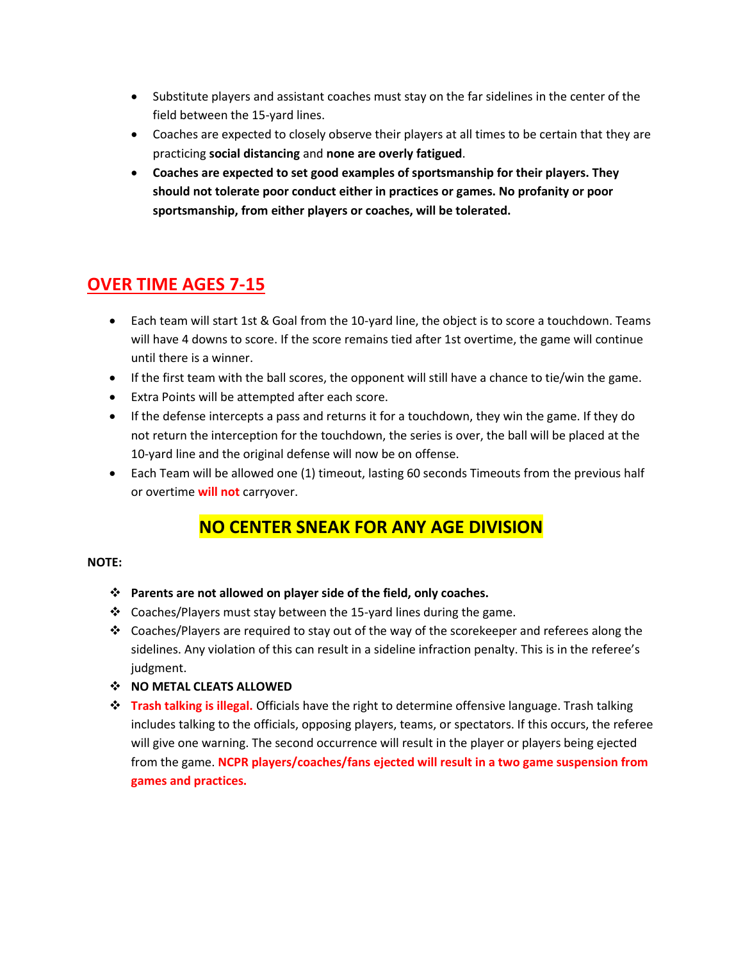- Substitute players and assistant coaches must stay on the far sidelines in the center of the field between the 15-yard lines.
- Coaches are expected to closely observe their players at all times to be certain that they are practicing **social distancing** and **none are overly fatigued**.
- **Coaches are expected to set good examples of sportsmanship for their players. They should not tolerate poor conduct either in practices or games. No profanity or poor sportsmanship, from either players or coaches, will be tolerated.**

### **OVER TIME AGES 7-15**

- Each team will start 1st & Goal from the 10-yard line, the object is to score a touchdown. Teams will have 4 downs to score. If the score remains tied after 1st overtime, the game will continue until there is a winner.
- If the first team with the ball scores, the opponent will still have a chance to tie/win the game.
- Extra Points will be attempted after each score.
- If the defense intercepts a pass and returns it for a touchdown, they win the game. If they do not return the interception for the touchdown, the series is over, the ball will be placed at the 10-yard line and the original defense will now be on offense.
- Each Team will be allowed one (1) timeout, lasting 60 seconds Timeouts from the previous half or overtime **will not** carryover.

### **NO CENTER SNEAK FOR ANY AGE DIVISION**

#### **NOTE:**

- ❖ **Parents are not allowed on player side of the field, only coaches.**
- ❖ Coaches/Players must stay between the 15-yard lines during the game.
- $\div$  Coaches/Players are required to stay out of the way of the scorekeeper and referees along the sidelines. Any violation of this can result in a sideline infraction penalty. This is in the referee's judgment.
- ❖ **NO METAL CLEATS ALLOWED**
- ❖ **Trash talking is illegal.** Officials have the right to determine offensive language. Trash talking includes talking to the officials, opposing players, teams, or spectators. If this occurs, the referee will give one warning. The second occurrence will result in the player or players being ejected from the game. **NCPR players/coaches/fans ejected will result in a two game suspension from games and practices.**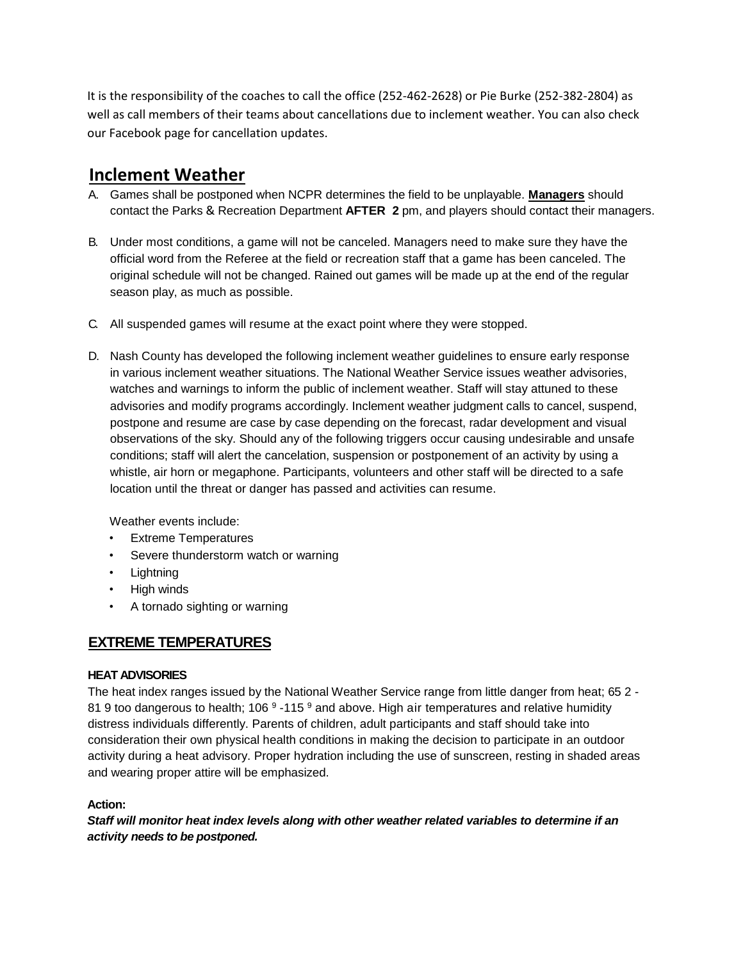It is the responsibility of the coaches to call the office (252-462-2628) or Pie Burke (252-382-2804) as well as call members of their teams about cancellations due to inclement weather. You can also check our Facebook page for cancellation updates.

### **Inclement Weather**

- A. Games shall be postponed when NCPR determines the field to be unplayable. **Managers** should contact the Parks & Recreation Department **AFTER 2** pm, and players should contact their managers.
- B. Under most conditions, a game will not be canceled. Managers need to make sure they have the official word from the Referee at the field or recreation staff that a game has been canceled. The original schedule will not be changed. Rained out games will be made up at the end of the regular season play, as much as possible.
- C. All suspended games will resume at the exact point where they were stopped.
- D. Nash County has developed the following inclement weather guidelines to ensure early response in various inclement weather situations. The National Weather Service issues weather advisories, watches and warnings to inform the public of inclement weather. Staff will stay attuned to these advisories and modify programs accordingly. Inclement weather judgment calls to cancel, suspend, postpone and resume are case by case depending on the forecast, radar development and visual observations of the sky. Should any of the following triggers occur causing undesirable and unsafe conditions; staff will alert the cancelation, suspension or postponement of an activity by using a whistle, air horn or megaphone. Participants, volunteers and other staff will be directed to a safe location until the threat or danger has passed and activities can resume.

Weather events include:

- **Extreme Temperatures**
- Severe thunderstorm watch or warning
- Lightning
- High winds
- A tornado sighting or warning

### **EXTREME TEMPERATURES**

#### **HEAT ADVISORIES**

The heat index ranges issued by the National Weather Service range from little danger from heat; 65 2 - 81 9 too dangerous to health; 106  $^9$  -115  $^9$  and above. High air temperatures and relative humidity distress individuals differently. Parents of children, adult participants and staff should take into consideration their own physical health conditions in making the decision to participate in an outdoor activity during a heat advisory. Proper hydration including the use of sunscreen, resting in shaded areas and wearing proper attire will be emphasized.

#### **Action:**

*Staff will monitor heat index levels along with other weather related variables to determine if an activity needs to be postponed.*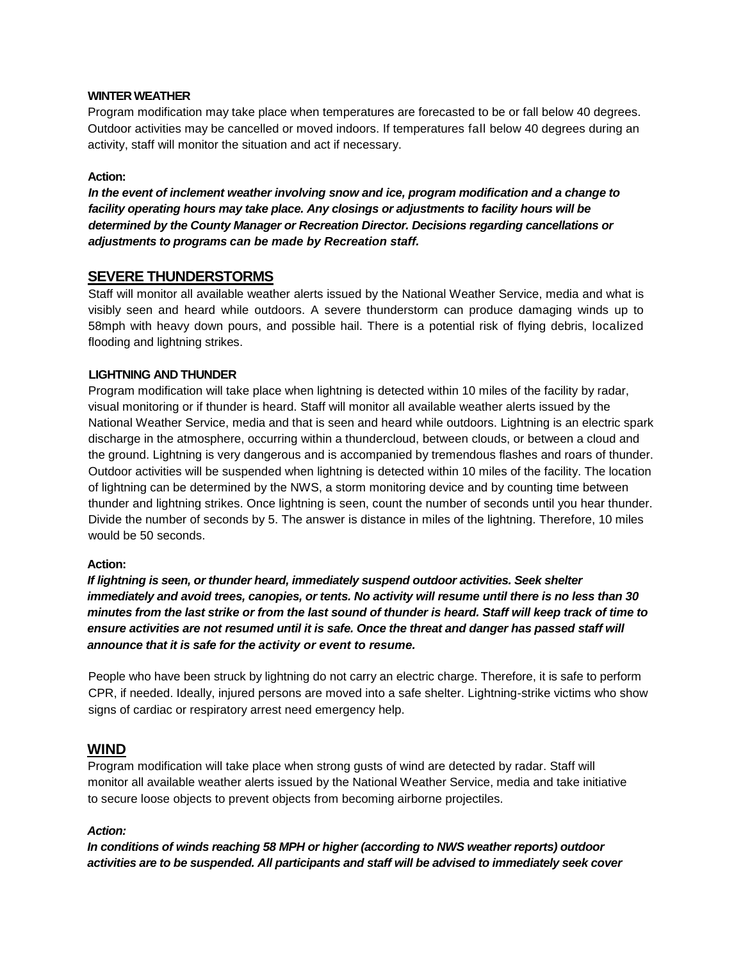#### **WINTER WEATHER**

Program modification may take place when temperatures are forecasted to be or fall below 40 degrees. Outdoor activities may be cancelled or moved indoors. If temperatures fall below 40 degrees during an activity, staff will monitor the situation and act if necessary.

#### **Action:**

*In the event of inclement weather involving snow and ice, program modification and a change to facility operating hours may take place. Any closings or adjustments to facility hours will be determined by the County Manager or Recreation Director. Decisions regarding cancellations or adjustments to programs can be made by Recreation staff.*

#### **SEVERE THUNDERSTORMS**

Staff will monitor all available weather alerts issued by the National Weather Service, media and what is visibly seen and heard while outdoors. A severe thunderstorm can produce damaging winds up to 58mph with heavy down pours, and possible hail. There is a potential risk of flying debris, localized flooding and lightning strikes.

#### **LIGHTNING AND THUNDER**

Program modification will take place when lightning is detected within 10 miles of the facility by radar, visual monitoring or if thunder is heard. Staff will monitor all available weather alerts issued by the National Weather Service, media and that is seen and heard while outdoors. Lightning is an electric spark discharge in the atmosphere, occurring within a thundercloud, between clouds, or between a cloud and the ground. Lightning is very dangerous and is accompanied by tremendous flashes and roars of thunder. Outdoor activities will be suspended when lightning is detected within 10 miles of the facility. The location of lightning can be determined by the NWS, a storm monitoring device and by counting time between thunder and lightning strikes. Once lightning is seen, count the number of seconds until you hear thunder. Divide the number of seconds by 5. The answer is distance in miles of the lightning. Therefore, 10 miles would be 50 seconds.

#### **Action:**

*If lightning is seen, or thunder heard, immediately suspend outdoor activities. Seek shelter immediately and avoid trees, canopies, or tents. No activity will resume until there is no less than 30 minutes from the last strike or from the last sound of thunder is heard. Staff will keep track of time to ensure activities are not resumed until it is safe. Once the threat and danger has passed staff will announce that it is safe for the activity or event to resume.*

People who have been struck by lightning do not carry an electric charge. Therefore, it is safe to perform CPR, if needed. Ideally, injured persons are moved into a safe shelter. Lightning-strike victims who show signs of cardiac or respiratory arrest need emergency help.

### **WIND**

Program modification will take place when strong gusts of wind are detected by radar. Staff will monitor all available weather alerts issued by the National Weather Service, media and take initiative to secure loose objects to prevent objects from becoming airborne projectiles.

#### *Action:*

*In conditions of winds reaching 58 MPH or higher (according to NWS weather reports) outdoor activities are to be suspended. All participants and staff will be advised to immediately seek cover*